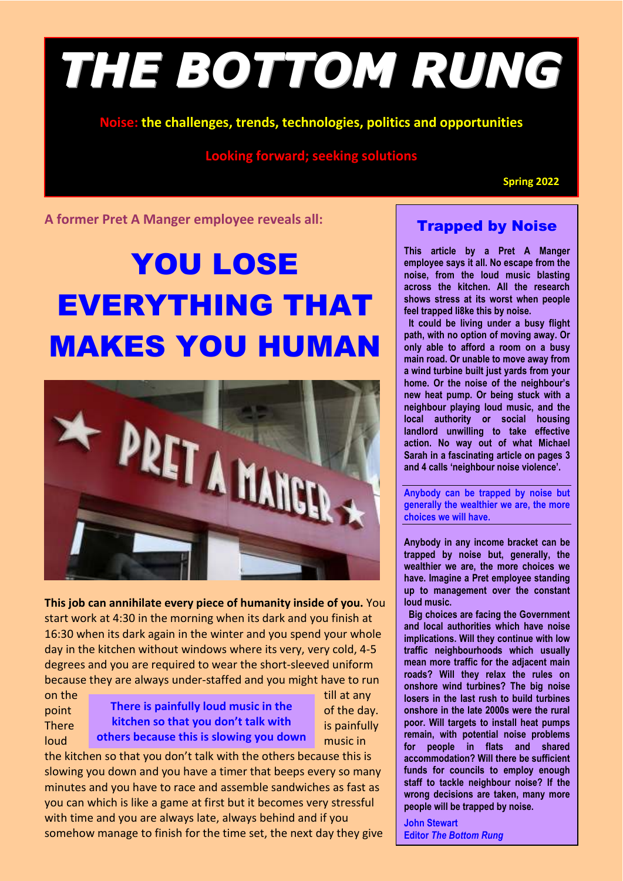# *THE BOTTOM RUNG*

**Noise: the challenges, trends, technologies, politics and opportunities** 

**Looking forward; seeking solutions** 

 **Spring 2022** 

**A former Pret A Manger employee reveals all:** 

## YOU LOSE EVERYTHING THAT MAKES YOU HUMAN



**This job can annihilate every piece of humanity inside of you.** You start work at 4:30 in the morning when its dark and you finish at 16:30 when its dark again in the winter and you spend your whole day in the kitchen without windows where its very, very cold, 4-5 degrees and you are required to wear the short-sleeved uniform because they are always under-staffed and you might have to run on the till at any on the till at any on the till at any on the till at any on the till at any

#### point **There is painfully loud music in the** of the day. **There kitchen so that you don't talk with is painfully** loud **others because this is slowing you down** music in

the kitchen so that you don't talk with the others because this is slowing you down and you have a timer that beeps every so many minutes and you have to race and assemble sandwiches as fast as you can which is like a game at first but it becomes very stressful with time and you are always late, always behind and if you somehow manage to finish for the time set, the next day they give

#### Trapped by Noise

**This article by a Pret A Manger employee says it all. No escape from the noise, from the loud music blasting across the kitchen. All the research shows stress at its worst when people feel trapped li8ke this by noise.** 

 **It could be living under a busy flight path, with no option of moving away. Or only able to afford a room on a busy main road. Or unable to move away from a wind turbine built just yards from your home. Or the noise of the neighbour's new heat pump. Or being stuck with a neighbour playing loud music, and the local authority or social housing landlord unwilling to take effective action. No way out of what Michael Sarah in a fascinating article on pages 3 and 4 calls 'neighbour noise violence'.** 

**Anybody can be trapped by noise but generally the wealthier we are, the more choices we will have.** 

**Anybody in any income bracket can be trapped by noise but, generally, the wealthier we are, the more choices we have. Imagine a Pret employee standing up to management over the constant loud music.** 

 **Big choices are facing the Government and local authorities which have noise implications. Will they continue with low traffic neighbourhoods which usually mean more traffic for the adjacent main roads? Will they relax the rules on onshore wind turbines? The big noise losers in the last rush to build turbines onshore in the late 2000s were the rural poor. Will targets to install heat pumps remain, with potential noise problems for people in flats and shared accommodation? Will there be sufficient funds for councils to employ enough staff to tackle neighbour noise? If the wrong decisions are taken, many more people will be trapped by noise.** 

**John Stewart Editor** *The Bottom Rung*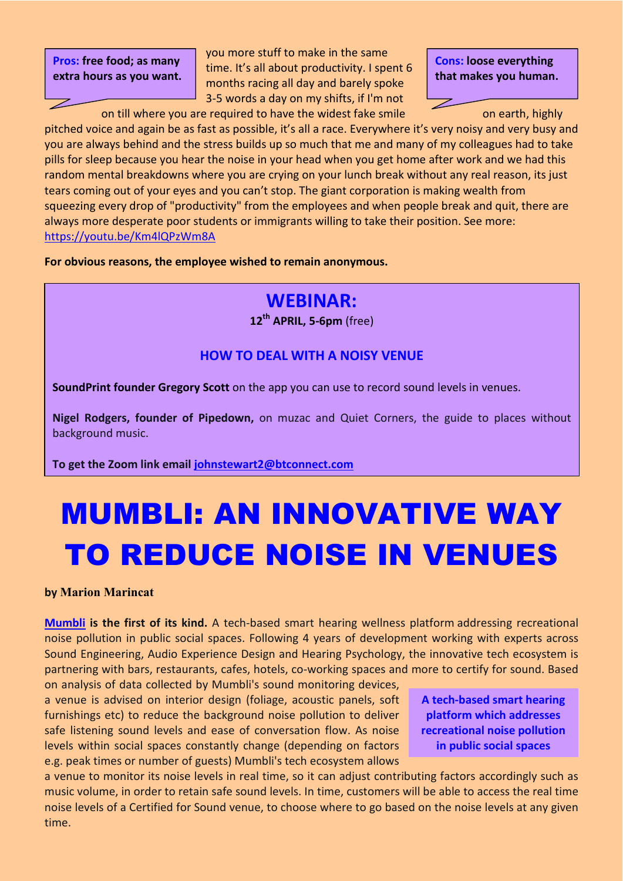**Pros: free food; as many extra hours as you want.** 

you more stuff to make in the same time. It's all about productivity. I spent 6 months racing all day and barely spoke 3-5 words a day on my shifts, if I'm not on till where you are required to have the widest fake smile on earth, highly

**Cons: loose everything that makes you human.**

pitched voice and again be as fast as possible, it's all a race. Everywhere it's very noisy and very busy and you are always behind and the stress builds up so much that me and many of my colleagues had to take pills for sleep because you hear the noise in your head when you get home after work and we had this random mental breakdowns where you are crying on your lunch break without any real reason, its just tears coming out of your eyes and you can't stop. The giant corporation is making wealth from squeezing every drop of "productivity" from the employees and when people break and quit, there are always more desperate poor students or immigrants willing to take their position. See more: https://youtu.be/Km4lQPzWm8A

**For obvious reasons, the employee wished to remain anonymous.** 

#### **WEBINAR:**

**12th APRIL, 5-6pm** (free)

#### **HOW TO DEAL WITH A NOISY VENUE**

**SoundPrint founder Gregory Scott** on the app you can use to record sound levels in venues.

**Nigel Rodgers, founder of Pipedown,** on muzac and Quiet Corners, the guide to places without background music.

**To get the Zoom link email johnstewart2@btconnect.com**

## MUMBLI: AN INNOVATIVE WAY TO REDUCE NOISE IN VENUES

#### **by Marion Marincat**

**Mumbli is the first of its kind.** A tech-based smart hearing wellness platform addressing recreational noise pollution in public social spaces. Following 4 years of development working with experts across Sound Engineering, Audio Experience Design and Hearing Psychology, the innovative tech ecosystem is partnering with bars, restaurants, cafes, hotels, co-working spaces and more to certify for sound. Based on analysis of data collected by Mumbli's sound monitoring devices,

a venue is advised on interior design (foliage, acoustic panels, soft furnishings etc) to reduce the background noise pollution to deliver safe listening sound levels and ease of conversation flow. As noise levels within social spaces constantly change (depending on factors e.g. peak times or number of guests) Mumbli's tech ecosystem allows

**A tech-based smart hearing platform which addresses recreational noise pollution in public social spaces** 

a venue to monitor its noise levels in real time, so it can adjust contributing factors accordingly such as music volume, in order to retain safe sound levels. In time, customers will be able to access the real time noise levels of a Certified for Sound venue, to choose where to go based on the noise levels at any given time.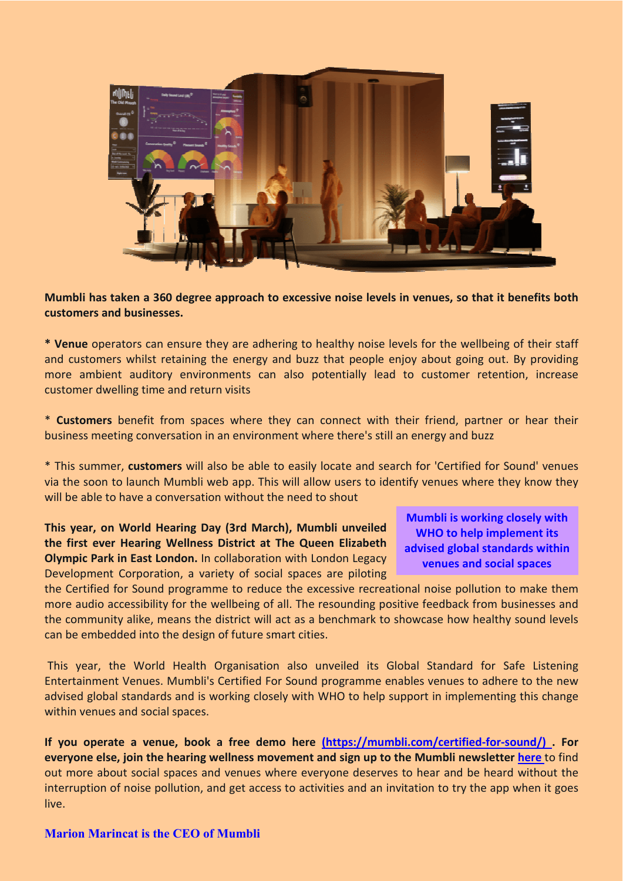

**Mumbli has taken a 360 degree approach to excessive noise levels in venues, so that it benefits both customers and businesses.** 

**\* Venue** operators can ensure they are adhering to healthy noise levels for the wellbeing of their staff and customers whilst retaining the energy and buzz that people enjoy about going out. By providing more ambient auditory environments can also potentially lead to customer retention, increase customer dwelling time and return visits

\* **Customers** benefit from spaces where they can connect with their friend, partner or hear their business meeting conversation in an environment where there's still an energy and buzz

\* This summer, **customers** will also be able to easily locate and search for 'Certified for Sound' venues via the soon to launch Mumbli web app. This will allow users to identify venues where they know they will be able to have a conversation without the need to shout

**This year, on World Hearing Day (3rd March), Mumbli unveiled the first ever Hearing Wellness District at The Queen Elizabeth Olympic Park in East London.** In collaboration with London Legacy Development Corporation, a variety of social spaces are piloting

**Mumbli is working closely with WHO to help implement its advised global standards within venues and social spaces** 

the Certified for Sound programme to reduce the excessive recreational noise pollution to make them more audio accessibility for the wellbeing of all. The resounding positive feedback from businesses and the community alike, means the district will act as a benchmark to showcase how healthy sound levels can be embedded into the design of future smart cities.

 This year, the World Health Organisation also unveiled its Global Standard for Safe Listening Entertainment Venues. Mumbli's Certified For Sound programme enables venues to adhere to the new advised global standards and is working closely with WHO to help support in implementing this change within venues and social spaces.

**If you operate a venue, book a free demo here (https://mumbli.com/certified-for-sound/) . For everyone else, join the hearing wellness movement and sign up to the Mumbli newsletter here** to find out more about social spaces and venues where everyone deserves to hear and be heard without the interruption of noise pollution, and get access to activities and an invitation to try the app when it goes live.

#### **Marion Marincat is the CEO of Mumbli**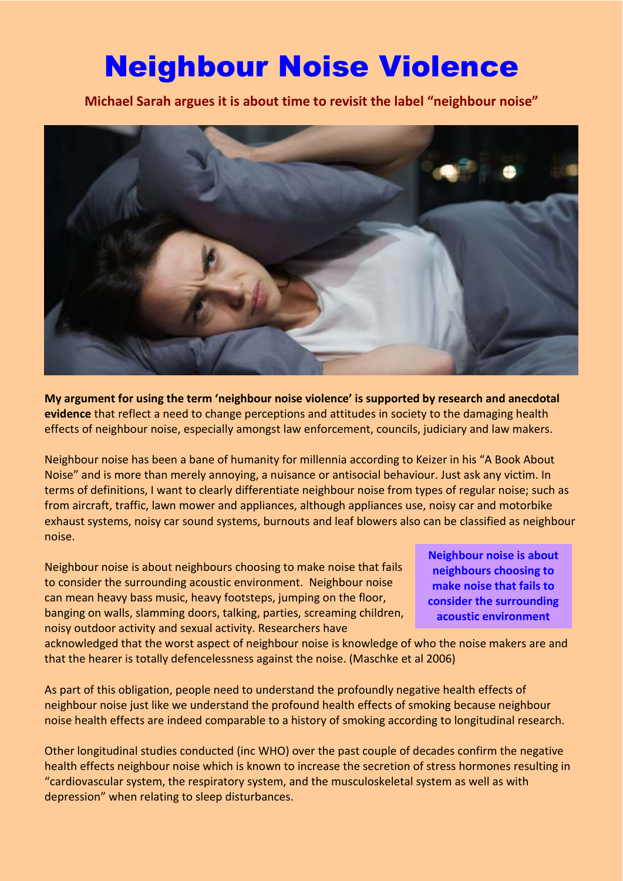### Neighbour Noise Violence

**Michael Sarah argues it is about time to revisit the label "neighbour noise"** 



**My argument for using the term 'neighbour noise violence' is supported by research and anecdotal evidence** that reflect a need to change perceptions and attitudes in society to the damaging health effects of neighbour noise, especially amongst law enforcement, councils, judiciary and law makers.

Neighbour noise has been a bane of humanity for millennia according to Keizer in his "A Book About Noise" and is more than merely annoying, a nuisance or antisocial behaviour. Just ask any victim. In terms of definitions, I want to clearly differentiate neighbour noise from types of regular noise; such as from aircraft, traffic, lawn mower and appliances, although appliances use, noisy car and motorbike exhaust systems, noisy car sound systems, burnouts and leaf blowers also can be classified as neighbour noise.

Neighbour noise is about neighbours choosing to make noise that fails to consider the surrounding acoustic environment. Neighbour noise can mean heavy bass music, heavy footsteps, jumping on the floor, banging on walls, slamming doors, talking, parties, screaming children, noisy outdoor activity and sexual activity. Researchers have

**Neighbour noise is about neighbours choosing to make noise that fails to consider the surrounding acoustic environment** 

acknowledged that the worst aspect of neighbour noise is knowledge of who the noise makers are and that the hearer is totally defencelessness against the noise. (Maschke et al 2006)

As part of this obligation, people need to understand the profoundly negative health effects of neighbour noise just like we understand the profound health effects of smoking because neighbour noise health effects are indeed comparable to a history of smoking according to longitudinal research.

Other longitudinal studies conducted (inc WHO) over the past couple of decades confirm the negative health effects neighbour noise which is known to increase the secretion of stress hormones resulting in "cardiovascular system, the respiratory system, and the musculoskeletal system as well as with depression" when relating to sleep disturbances.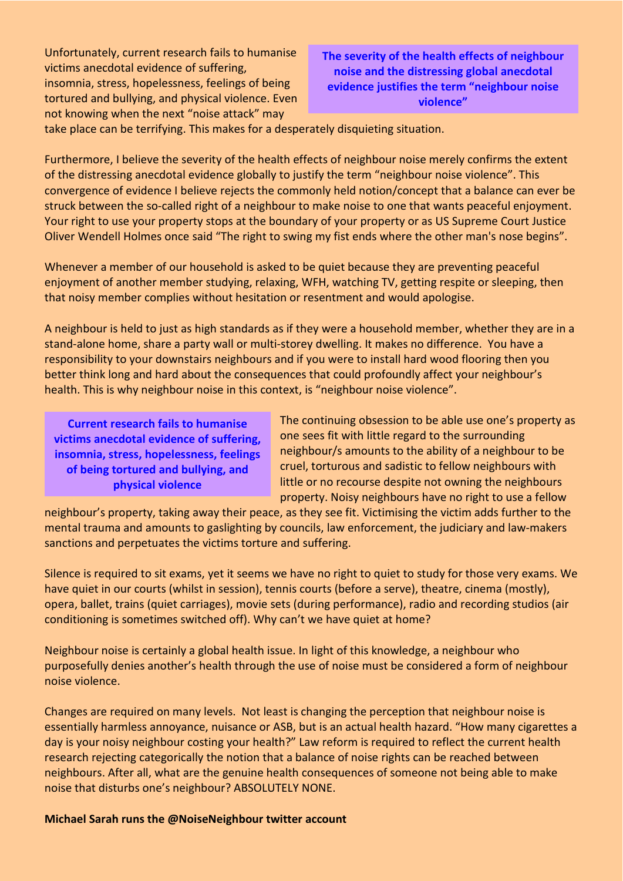Unfortunately, current research fails to humanise victims anecdotal evidence of suffering, insomnia, stress, hopelessness, feelings of being tortured and bullying, and physical violence. Even not knowing when the next "noise attack" may

**The severity of the health effects of neighbour noise and the distressing global anecdotal evidence justifies the term "neighbour noise violence"** 

take place can be terrifying. This makes for a desperately disquieting situation.

Furthermore, I believe the severity of the health effects of neighbour noise merely confirms the extent of the distressing anecdotal evidence globally to justify the term "neighbour noise violence". This convergence of evidence I believe rejects the commonly held notion/concept that a balance can ever be struck between the so-called right of a neighbour to make noise to one that wants peaceful enjoyment. Your right to use your property stops at the boundary of your property or as US Supreme Court Justice Oliver Wendell Holmes once said "The right to swing my fist ends where the other man's nose begins".

Whenever a member of our household is asked to be quiet because they are preventing peaceful enjoyment of another member studying, relaxing, WFH, watching TV, getting respite or sleeping, then that noisy member complies without hesitation or resentment and would apologise.

A neighbour is held to just as high standards as if they were a household member, whether they are in a stand-alone home, share a party wall or multi-storey dwelling. It makes no difference. You have a responsibility to your downstairs neighbours and if you were to install hard wood flooring then you better think long and hard about the consequences that could profoundly affect your neighbour's health. This is why neighbour noise in this context, is "neighbour noise violence".

**Current research fails to humanise victims anecdotal evidence of suffering, insomnia, stress, hopelessness, feelings of being tortured and bullying, and physical violence** 

The continuing obsession to be able use one's property as one sees fit with little regard to the surrounding neighbour/s amounts to the ability of a neighbour to be cruel, torturous and sadistic to fellow neighbours with little or no recourse despite not owning the neighbours property. Noisy neighbours have no right to use a fellow

neighbour's property, taking away their peace, as they see fit. Victimising the victim adds further to the mental trauma and amounts to gaslighting by councils, law enforcement, the judiciary and law-makers sanctions and perpetuates the victims torture and suffering.

Silence is required to sit exams, yet it seems we have no right to quiet to study for those very exams. We have quiet in our courts (whilst in session), tennis courts (before a serve), theatre, cinema (mostly), opera, ballet, trains (quiet carriages), movie sets (during performance), radio and recording studios (air conditioning is sometimes switched off). Why can't we have quiet at home?

Neighbour noise is certainly a global health issue. In light of this knowledge, a neighbour who purposefully denies another's health through the use of noise must be considered a form of neighbour noise violence.

Changes are required on many levels. Not least is changing the perception that neighbour noise is essentially harmless annoyance, nuisance or ASB, but is an actual health hazard. "How many cigarettes a day is your noisy neighbour costing your health?" Law reform is required to reflect the current health research rejecting categorically the notion that a balance of noise rights can be reached between neighbours. After all, what are the genuine health consequences of someone not being able to make noise that disturbs one's neighbour? ABSOLUTELY NONE.

**Michael Sarah runs the @NoiseNeighbour twitter account**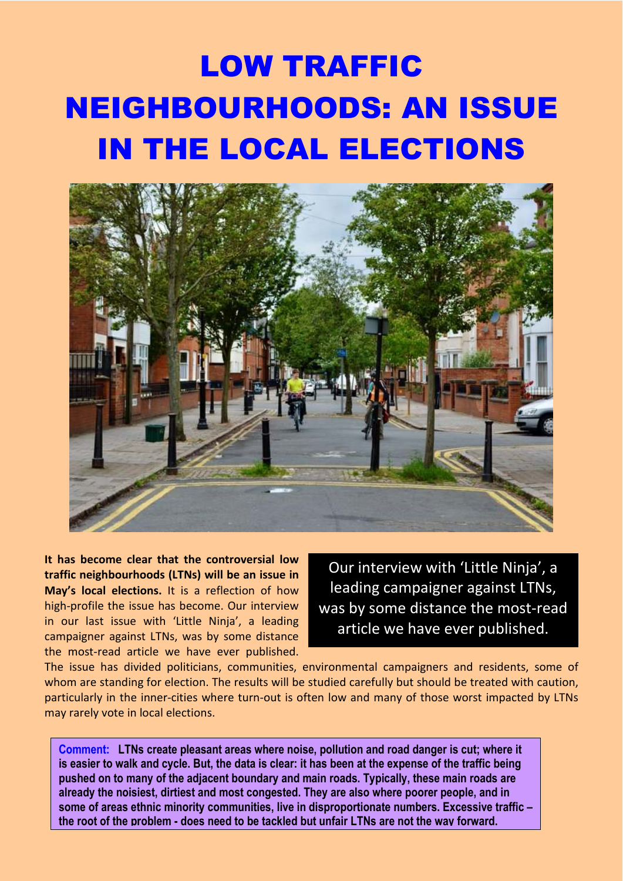## LOW TRAFFIC NEIGHBOURHOODS: AN ISSUE IN THE LOCAL ELECTIONS



**It has become clear that the controversial low traffic neighbourhoods (LTNs) will be an issue in May's local elections.** It is a reflection of how high-profile the issue has become. Our interview in our last issue with 'Little Ninja', a leading campaigner against LTNs, was by some distance the most-read article we have ever published.

Our interview with 'Little Ninja', a leading campaigner against LTNs, was by some distance the most-read article we have ever published.

The issue has divided politicians, communities, environmental campaigners and residents, some of whom are standing for election. The results will be studied carefully but should be treated with caution, particularly in the inner-cities where turn-out is often low and many of those worst impacted by LTNs may rarely vote in local elections.

**Comment: LTNs create pleasant areas where noise, pollution and road danger is cut; where it is easier to walk and cycle. But, the data is clear: it has been at the expense of the traffic being pushed on to many of the adjacent boundary and main roads. Typically, these main roads are already the noisiest, dirtiest and most congested. They are also where poorer people, and in some of areas ethnic minority communities, live in disproportionate numbers. Excessive traffic – the root of the problem - does need to be tackled but unfair LTNs are not the way forward.**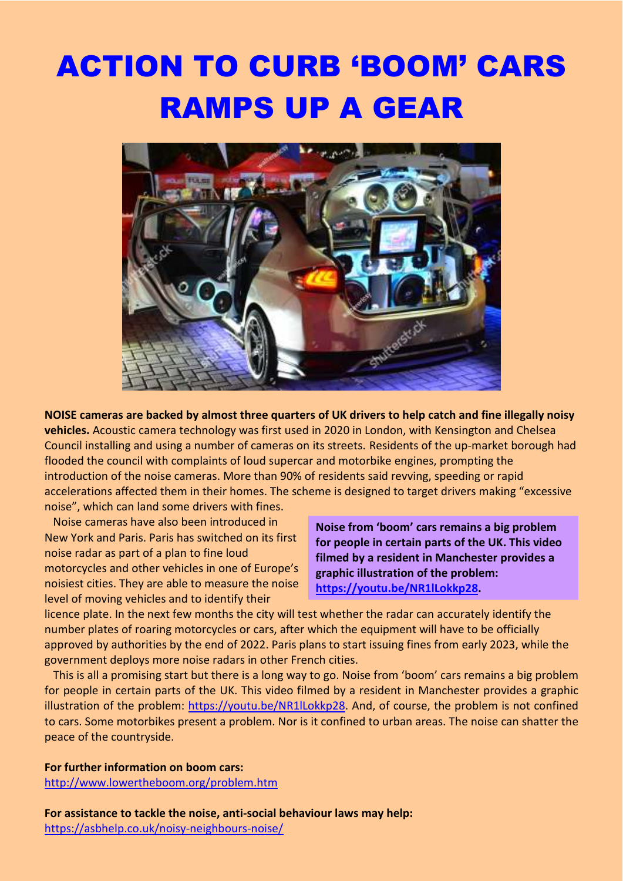## ACTION TO CURB 'BOOM' CARS RAMPS UP A GEAR



**NOISE cameras are backed by almost three quarters of UK drivers to help catch and fine illegally noisy vehicles.** Acoustic camera technology was first used in 2020 in London, with Kensington and Chelsea Council installing and using a number of cameras on its streets. Residents of the up-market borough had flooded the council with complaints of loud supercar and motorbike engines, prompting the introduction of the noise cameras. More than 90% of residents said revving, speeding or rapid accelerations affected them in their homes. The scheme is designed to target drivers making "excessive noise", which can land some drivers with fines.

 Noise cameras have also been introduced in New York and Paris. Paris has switched on its first noise radar as part of a plan to fine loud motorcycles and other vehicles in one of Europe's noisiest cities. They are able to measure the noise level of moving vehicles and to identify their

**Noise from 'boom' cars remains a big problem for people in certain parts of the UK. This video filmed by a resident in Manchester provides a graphic illustration of the problem: https://youtu.be/NR1lLokkp28.** 

licence plate. In the next few months the city will test whether the radar can accurately identify the number plates of roaring motorcycles or cars, after which the equipment will have to be officially approved by authorities by the end of 2022. Paris plans to start issuing fines from early 2023, while the government deploys more noise radars in other French cities.

 This is all a promising start but there is a long way to go. Noise from 'boom' cars remains a big problem for people in certain parts of the UK. This video filmed by a resident in Manchester provides a graphic illustration of the problem: https://youtu.be/NR1lLokkp28. And, of course, the problem is not confined to cars. Some motorbikes present a problem. Nor is it confined to urban areas. The noise can shatter the peace of the countryside.

**For further information on boom cars:**  http://www.lowertheboom.org/problem.htm

**For assistance to tackle the noise, anti-social behaviour laws may help:**  https://asbhelp.co.uk/noisy-neighbours-noise/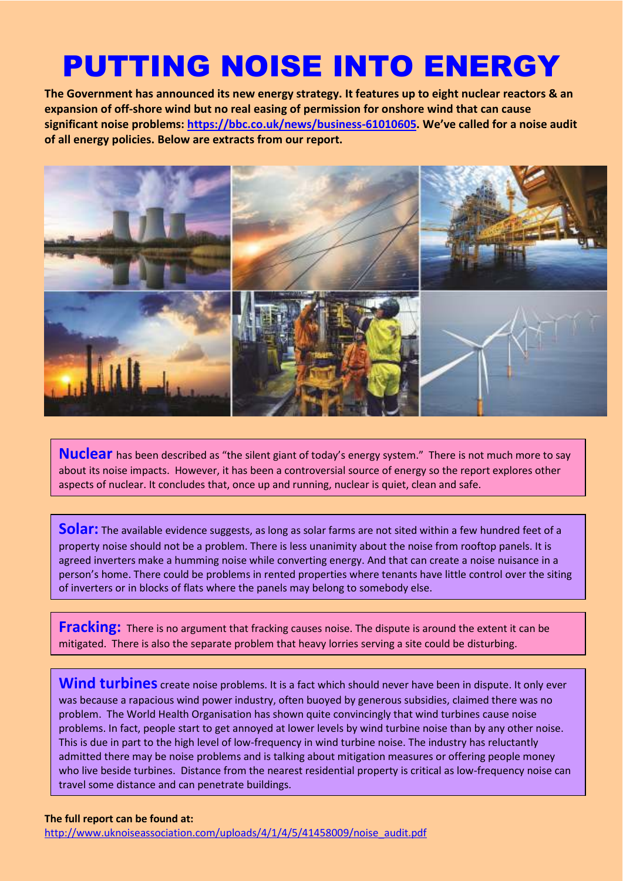### PUTTING NOISE INTO ENERGY

**The Government has announced its new energy strategy. It features up to eight nuclear reactors & an expansion of off-shore wind but no real easing of permission for onshore wind that can cause significant noise problems: https://bbc.co.uk/news/business-61010605. We've called for a noise audit of all energy policies. Below are extracts from our report.** 



**Nuclear** has been described as "the silent giant of today's energy system." There is not much more to say about its noise impacts. However, it has been a controversial source of energy so the report explores other aspects of nuclear. It concludes that, once up and running, nuclear is quiet, clean and safe.

**Solar:** The available evidence suggests, as long as solar farms are not sited within a few hundred feet of a property noise should not be a problem. There is less unanimity about the noise from rooftop panels. It is agreed inverters make a humming noise while converting energy. And that can create a noise nuisance in a person's home. There could be problems in rented properties where tenants have little control over the siting of inverters or in blocks of flats where the panels may belong to somebody else.

**Fracking:** There is no argument that fracking causes noise. The dispute is around the extent it can be mitigated. There is also the separate problem that heavy lorries serving a site could be disturbing.

Wind turbines create noise problems. It is a fact which should never have been in dispute. It only ever was because a rapacious wind power industry, often buoyed by generous subsidies, claimed there was no problem. The World Health Organisation has shown quite convincingly that wind turbines cause noise problems. In fact, people start to get annoyed at lower levels by wind turbine noise than by any other noise. This is due in part to the high level of low-frequency in wind turbine noise. The industry has reluctantly admitted there may be noise problems and is talking about mitigation measures or offering people money who live beside turbines. Distance from the nearest residential property is critical as low-frequency noise can travel some distance and can penetrate buildings.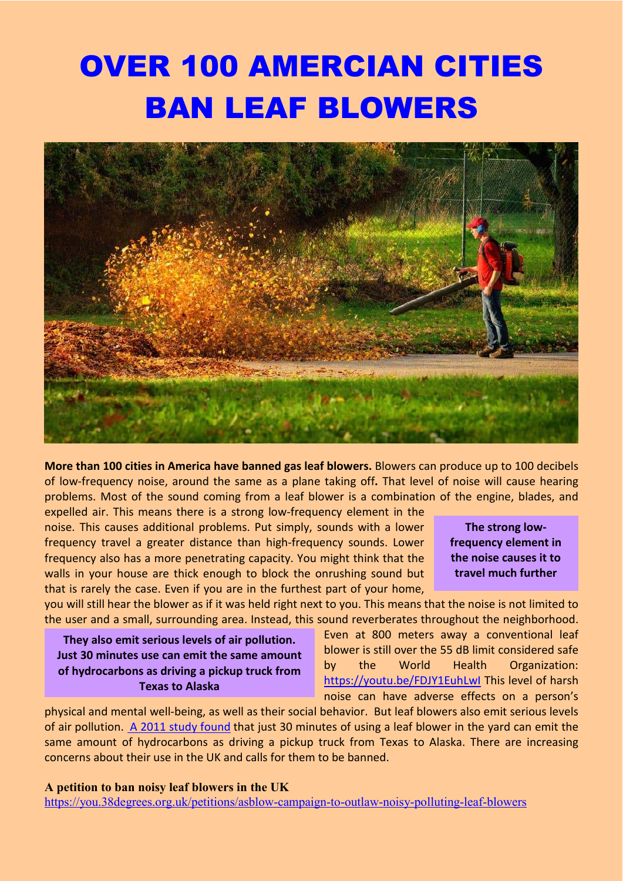## OVER 100 AMERCIAN CITIES BAN LEAF BLOWERS



**More than 100 cities in America have banned gas leaf blowers.** Blowers can produce up to 100 decibels of low-frequency noise, around the same as a plane taking off**.** That level of noise will cause hearing problems. Most of the sound coming from a leaf blower is a combination of the engine, blades, and

expelled air. This means there is a strong low-frequency element in the noise. This causes additional problems. Put simply, sounds with a lower frequency travel a greater distance than high-frequency sounds. Lower frequency also has a more penetrating capacity. You might think that the walls in your house are thick enough to block the onrushing sound but that is rarely the case. Even if you are in the furthest part of your home,

**The strong lowfrequency element in the noise causes it to travel much further** 

you will still hear the blower as if it was held right next to you. This means that the noise is not limited to the user and a small, surrounding area. Instead, this sound reverberates throughout the neighborhood.

**They also emit serious levels of air pollution. Just 30 minutes use can emit the same amount of hydrocarbons as driving a pickup truck from Texas to Alaska** 

Even at 800 meters away a conventional leaf blower is still over the 55 dB limit considered safe by the World Health Organization: https://youtu.be/FDJY1EuhLwI This level of harsh noise can have adverse effects on a person's

physical and mental well-being, as well as their social behavior. But leaf blowers also emit serious levels of air pollution. A 2011 study found that just 30 minutes of using a leaf blower in the yard can emit the same amount of hydrocarbons as driving a pickup truck from Texas to Alaska. There are increasing concerns about their use in the UK and calls for them to be banned.

**A petition to ban noisy leaf blowers in the UK** 

https://you.38degrees.org.uk/petitions/asblow-campaign-to-outlaw-noisy-polluting-leaf-blowers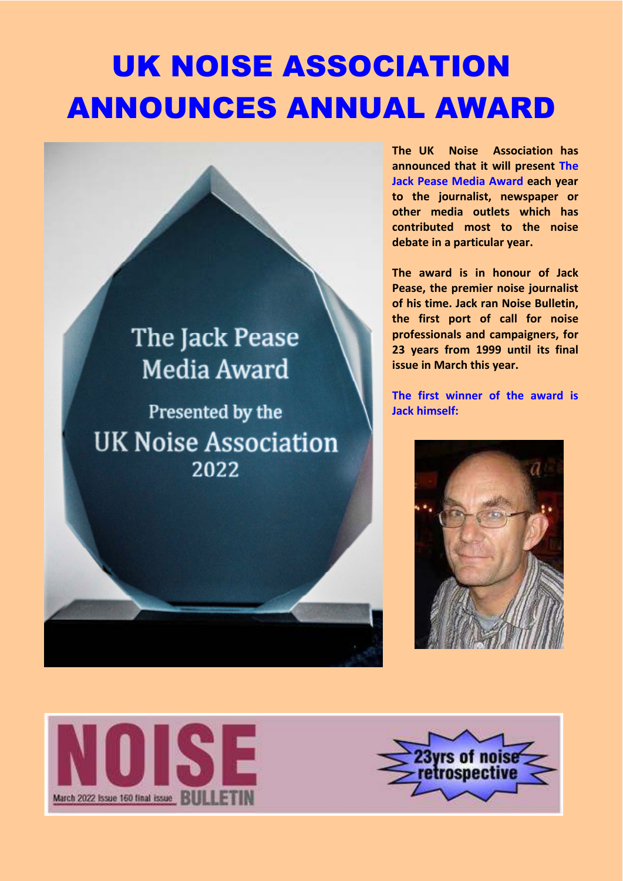## UK NOISE ASSOCIATION ANNOUNCES ANNUAL AWARD

### The Jack Pease **Media Award**

Presented by the **UK Noise Association** 2022

**The UK Noise Association has announced that it will present The Jack Pease Media Award each year to the journalist, newspaper or other media outlets which has contributed most to the noise debate in a particular year.** 

**The award is in honour of Jack Pease, the premier noise journalist of his time. Jack ran Noise Bulletin, the first port of call for noise professionals and campaigners, for 23 years from 1999 until its final issue in March this year.** 

**The first winner of the award is Jack himself:**